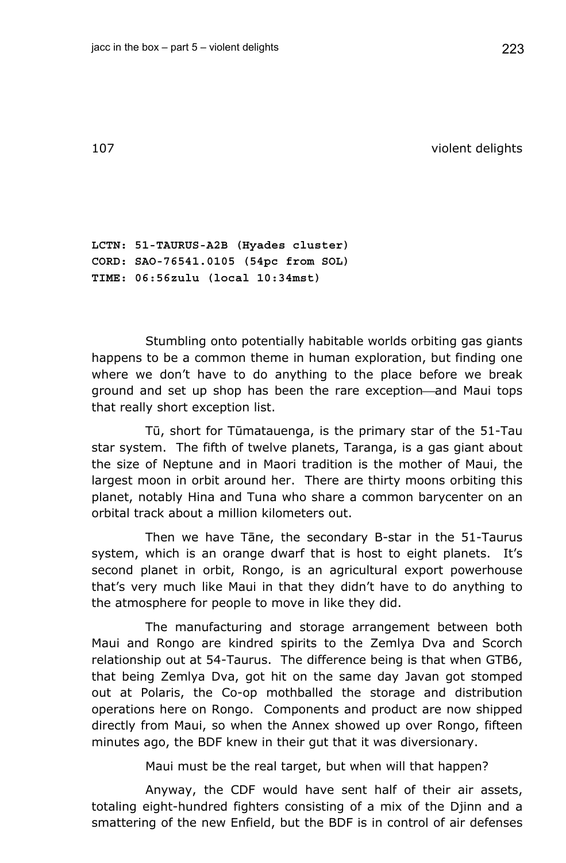107 violent delights

**LCTN: 51-TAURUS-A2B (Hyades cluster) CORD: SAO-76541.0105 (54pc from SOL) TIME: 06:56zulu (local 10:34mst)** 

Stumbling onto potentially habitable worlds orbiting gas giants happens to be a common theme in human exploration, but finding one where we don't have to do anything to the place before we break ground and set up shop has been the rare exception—and Maui tops that really short exception list.

Tū, short for Tūmatauenga, is the primary star of the 51-Tau star system. The fifth of twelve planets, Taranga, is a gas giant about the size of Neptune and in Maori tradition is the mother of Maui, the largest moon in orbit around her. There are thirty moons orbiting this planet, notably Hina and Tuna who share a common barycenter on an orbital track about a million kilometers out.

Then we have Tāne, the secondary B-star in the 51-Taurus system, which is an orange dwarf that is host to eight planets. It's second planet in orbit, Rongo, is an agricultural export powerhouse that's very much like Maui in that they didn't have to do anything to the atmosphere for people to move in like they did.

The manufacturing and storage arrangement between both Maui and Rongo are kindred spirits to the Zemlya Dva and Scorch relationship out at 54-Taurus. The difference being is that when GTB6, that being Zemlya Dva, got hit on the same day Javan got stomped out at Polaris, the Co-op mothballed the storage and distribution operations here on Rongo. Components and product are now shipped directly from Maui, so when the Annex showed up over Rongo, fifteen minutes ago, the BDF knew in their gut that it was diversionary.

Maui must be the real target, but when will that happen?

Anyway, the CDF would have sent half of their air assets, totaling eight-hundred fighters consisting of a mix of the Djinn and a smattering of the new Enfield, but the BDF is in control of air defenses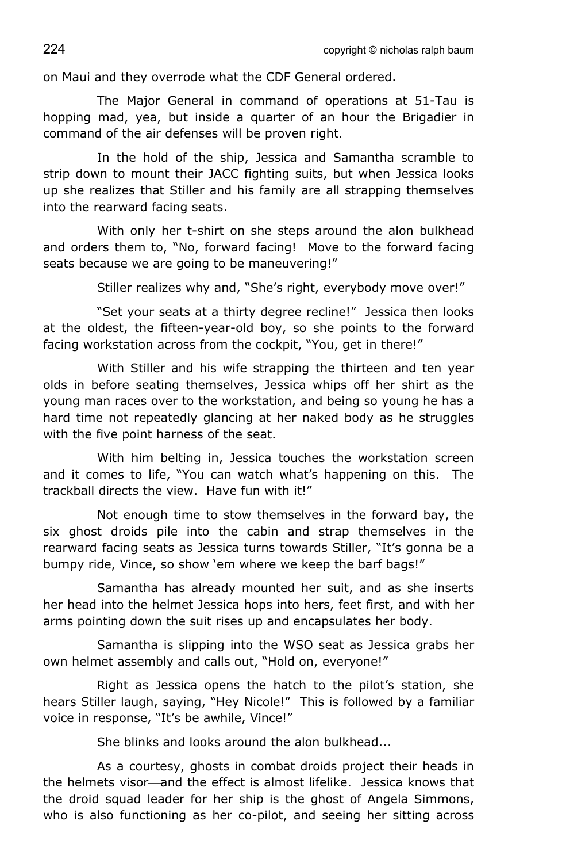on Maui and they overrode what the CDF General ordered.

The Major General in command of operations at 51-Tau is hopping mad, yea, but inside a quarter of an hour the Brigadier in command of the air defenses will be proven right.

In the hold of the ship, Jessica and Samantha scramble to strip down to mount their JACC fighting suits, but when Jessica looks up she realizes that Stiller and his family are all strapping themselves into the rearward facing seats.

With only her t-shirt on she steps around the alon bulkhead and orders them to, "No, forward facing! Move to the forward facing seats because we are going to be maneuvering!"

Stiller realizes why and, "She's right, everybody move over!"

"Set your seats at a thirty degree recline!" Jessica then looks at the oldest, the fifteen-year-old boy, so she points to the forward facing workstation across from the cockpit, "You, get in there!"

With Stiller and his wife strapping the thirteen and ten year olds in before seating themselves, Jessica whips off her shirt as the young man races over to the workstation, and being so young he has a hard time not repeatedly glancing at her naked body as he struggles with the five point harness of the seat.

With him belting in, Jessica touches the workstation screen and it comes to life, "You can watch what's happening on this. The trackball directs the view. Have fun with it!"

Not enough time to stow themselves in the forward bay, the six ghost droids pile into the cabin and strap themselves in the rearward facing seats as Jessica turns towards Stiller, "It's gonna be a bumpy ride, Vince, so show 'em where we keep the barf bags!"

Samantha has already mounted her suit, and as she inserts her head into the helmet Jessica hops into hers, feet first, and with her arms pointing down the suit rises up and encapsulates her body.

Samantha is slipping into the WSO seat as Jessica grabs her own helmet assembly and calls out, "Hold on, everyone!"

Right as Jessica opens the hatch to the pilot's station, she hears Stiller laugh, saying, "Hey Nicole!" This is followed by a familiar voice in response, "It's be awhile, Vince!"

She blinks and looks around the alon bulkhead...

As a courtesy, ghosts in combat droids project their heads in the helmets visor—and the effect is almost lifelike. Jessica knows that the droid squad leader for her ship is the ghost of Angela Simmons, who is also functioning as her co-pilot, and seeing her sitting across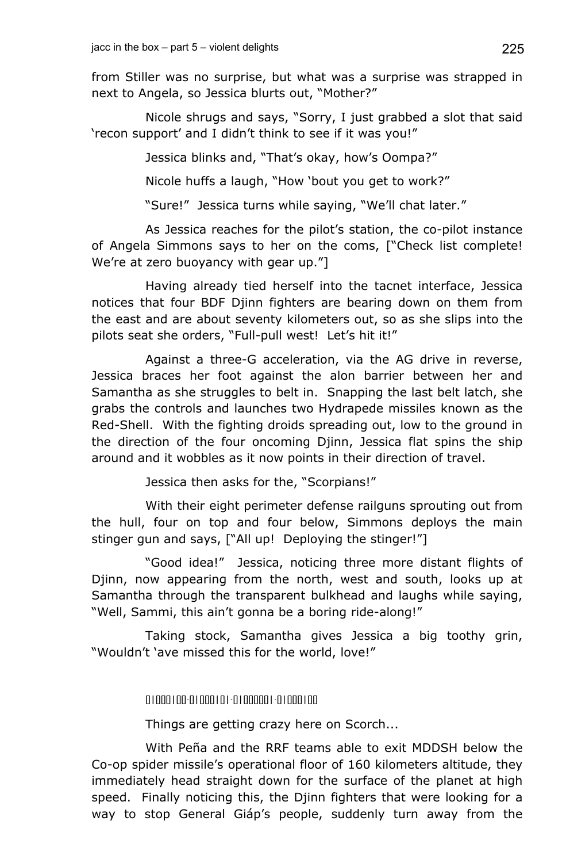from Stiller was no surprise, but what was a surprise was strapped in next to Angela, so Jessica blurts out, "Mother?"

Nicole shrugs and says, "Sorry, I just grabbed a slot that said 'recon support' and I didn't think to see if it was you!"

Jessica blinks and, "That's okay, how's Oompa?"

Nicole huffs a laugh, "How 'bout you get to work?"

"Sure!" Jessica turns while saying, "We'll chat later."

As Jessica reaches for the pilot's station, the co-pilot instance of Angela Simmons says to her on the coms, ["Check list complete! We're at zero buoyancy with gear up."]

Having already tied herself into the tacnet interface, Jessica notices that four BDF Djinn fighters are bearing down on them from the east and are about seventy kilometers out, so as she slips into the pilots seat she orders, "Full-pull west! Let's hit it!"

Against a three-G acceleration, via the AG drive in reverse, Jessica braces her foot against the alon barrier between her and Samantha as she struggles to belt in. Snapping the last belt latch, she grabs the controls and launches two Hydrapede missiles known as the Red-Shell. With the fighting droids spreading out, low to the ground in the direction of the four oncoming Djinn, Jessica flat spins the ship around and it wobbles as it now points in their direction of travel.

Jessica then asks for the, "Scorpians!"

With their eight perimeter defense railguns sprouting out from the hull, four on top and four below, Simmons deploys the main stinger gun and says, ["All up! Deploying the stinger!"]

"Good idea!" Jessica, noticing three more distant flights of Djinn, now appearing from the north, west and south, looks up at Samantha through the transparent bulkhead and laughs while saying, "Well, Sammi, this ain't gonna be a boring ride-along!"

Taking stock, Samantha gives Jessica a big toothy grin, "Wouldn't 'ave missed this for the world, love!"

01000100-01000101-01000001-01000100

Things are getting crazy here on Scorch...

With Peña and the RRF teams able to exit MDDSH below the Co-op spider missile's operational floor of 160 kilometers altitude, they immediately head straight down for the surface of the planet at high speed. Finally noticing this, the Djinn fighters that were looking for a way to stop General Giáp's people, suddenly turn away from the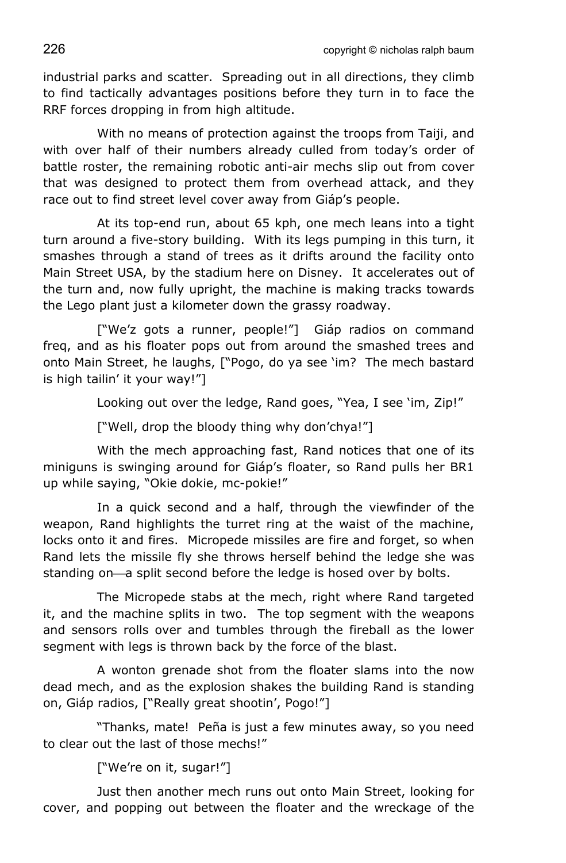226 copyright © nicholas ralph baum

industrial parks and scatter. Spreading out in all directions, they climb to find tactically advantages positions before they turn in to face the RRF forces dropping in from high altitude.

With no means of protection against the troops from Taiji, and with over half of their numbers already culled from today's order of battle roster, the remaining robotic anti-air mechs slip out from cover that was designed to protect them from overhead attack, and they race out to find street level cover away from Giáp's people.

At its top-end run, about 65 kph, one mech leans into a tight turn around a five-story building. With its legs pumping in this turn, it smashes through a stand of trees as it drifts around the facility onto Main Street USA, by the stadium here on Disney. It accelerates out of the turn and, now fully upright, the machine is making tracks towards the Lego plant just a kilometer down the grassy roadway.

["We'z gots a runner, people!"] Giáp radios on command freq, and as his floater pops out from around the smashed trees and onto Main Street, he laughs, ["Pogo, do ya see 'im? The mech bastard is high tailin' it your way!"]

Looking out over the ledge, Rand goes, "Yea, I see 'im, Zip!"

["Well, drop the bloody thing why don'chya!"]

With the mech approaching fast, Rand notices that one of its miniguns is swinging around for Giáp's floater, so Rand pulls her BR1 up while saying, "Okie dokie, mc-pokie!"

In a quick second and a half, through the viewfinder of the weapon, Rand highlights the turret ring at the waist of the machine, locks onto it and fires. Micropede missiles are fire and forget, so when Rand lets the missile fly she throws herself behind the ledge she was standing on—a split second before the ledge is hosed over by bolts.

The Micropede stabs at the mech, right where Rand targeted it, and the machine splits in two. The top segment with the weapons and sensors rolls over and tumbles through the fireball as the lower segment with legs is thrown back by the force of the blast.

A wonton grenade shot from the floater slams into the now dead mech, and as the explosion shakes the building Rand is standing on, Giáp radios, ["Really great shootin', Pogo!"]

"Thanks, mate! Peña is just a few minutes away, so you need to clear out the last of those mechs!"

["We're on it, sugar!"]

Just then another mech runs out onto Main Street, looking for cover, and popping out between the floater and the wreckage of the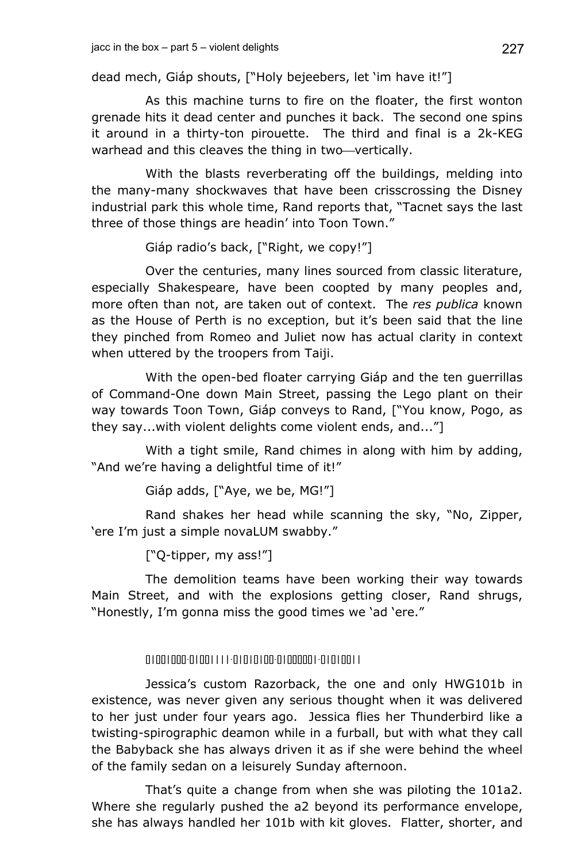dead mech, Giáp shouts, ["Holy bejeebers, let 'im have it!"]

As this machine turns to fire on the floater, the first wonton grenade hits it dead center and punches it back. The second one spins it around in a thirty-ton pirouette. The third and final is a 2k-KEG warhead and this cleaves the thing in two-vertically.

With the blasts reverberating off the buildings, melding into the many-many shockwaves that have been crisscrossing the Disney industrial park this whole time, Rand reports that, "Tacnet says the last three of those things are headin' into Toon Town."

Giáp radio's back, ["Right, we copy!"]

Over the centuries, many lines sourced from classic literature, especially Shakespeare, have been coopted by many peoples and, more often than not, are taken out of context. The *res publica* known as the House of Perth is no exception, but it's been said that the line they pinched from Romeo and Juliet now has actual clarity in context when uttered by the troopers from Taiji.

With the open-bed floater carrying Giáp and the ten guerrillas of Command-One down Main Street, passing the Lego plant on their way towards Toon Town, Giáp conveys to Rand, ["You know, Pogo, as they say...with violent delights come violent ends, and..."]

With a tight smile, Rand chimes in along with him by adding, "And we're having a delightful time of it!"

Giáp adds, ["Aye, we be, MG!"]

Rand shakes her head while scanning the sky, "No, Zipper, 'ere I'm just a simple novaLUM swabby."

["Q-tipper, my ass!"]

The demolition teams have been working their way towards Main Street, and with the explosions getting closer, Rand shrugs, "Honestly, I'm gonna miss the good times we 'ad 'ere."

01001000-01001111-01010100-01000001-01010011

Jessica's custom Razorback, the one and only HWG101b in existence, was never given any serious thought when it was delivered to her just under four years ago. Jessica flies her Thunderbird like a twisting-spirographic deamon while in a furball, but with what they call the Babyback she has always driven it as if she were behind the wheel of the family sedan on a leisurely Sunday afternoon.

That's quite a change from when she was piloting the 101a2. Where she regularly pushed the a2 beyond its performance envelope, she has always handled her 101b with kit gloves. Flatter, shorter, and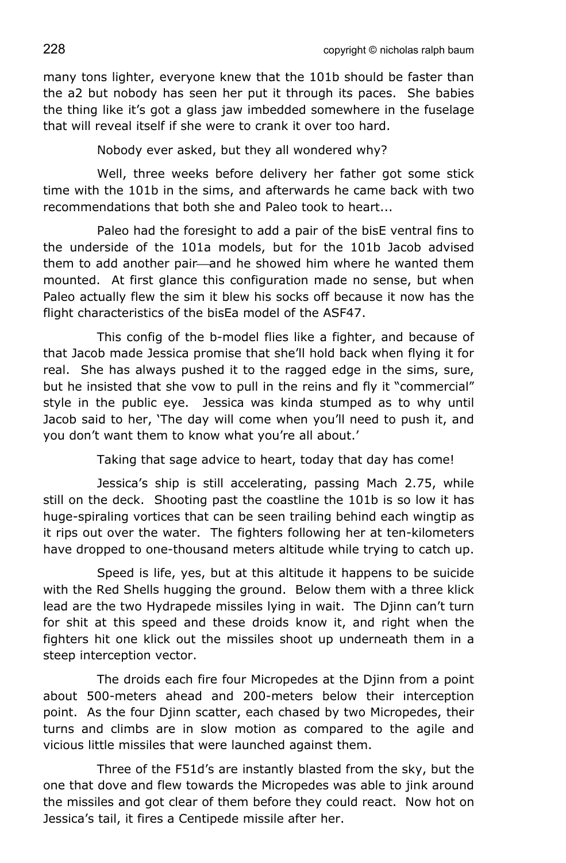many tons lighter, everyone knew that the 101b should be faster than the a2 but nobody has seen her put it through its paces. She babies the thing like it's got a glass jaw imbedded somewhere in the fuselage that will reveal itself if she were to crank it over too hard.

Nobody ever asked, but they all wondered why?

Well, three weeks before delivery her father got some stick time with the 101b in the sims, and afterwards he came back with two recommendations that both she and Paleo took to heart...

Paleo had the foresight to add a pair of the bisE ventral fins to the underside of the 101a models, but for the 101b Jacob advised them to add another pair—and he showed him where he wanted them mounted. At first glance this configuration made no sense, but when Paleo actually flew the sim it blew his socks off because it now has the flight characteristics of the bisEa model of the ASF47.

This config of the b-model flies like a fighter, and because of that Jacob made Jessica promise that she'll hold back when flying it for real. She has always pushed it to the ragged edge in the sims, sure, but he insisted that she vow to pull in the reins and fly it "commercial" style in the public eye. Jessica was kinda stumped as to why until Jacob said to her, 'The day will come when you'll need to push it, and you don't want them to know what you're all about.'

Taking that sage advice to heart, today that day has come!

Jessica's ship is still accelerating, passing Mach 2.75, while still on the deck. Shooting past the coastline the 101b is so low it has huge-spiraling vortices that can be seen trailing behind each wingtip as it rips out over the water. The fighters following her at ten-kilometers have dropped to one-thousand meters altitude while trying to catch up.

Speed is life, yes, but at this altitude it happens to be suicide with the Red Shells hugging the ground. Below them with a three klick lead are the two Hydrapede missiles lying in wait. The Djinn can't turn for shit at this speed and these droids know it, and right when the fighters hit one klick out the missiles shoot up underneath them in a steep interception vector.

The droids each fire four Micropedes at the Djinn from a point about 500-meters ahead and 200-meters below their interception point. As the four Djinn scatter, each chased by two Micropedes, their turns and climbs are in slow motion as compared to the agile and vicious little missiles that were launched against them.

Three of the F51d's are instantly blasted from the sky, but the one that dove and flew towards the Micropedes was able to jink around the missiles and got clear of them before they could react. Now hot on Jessica's tail, it fires a Centipede missile after her.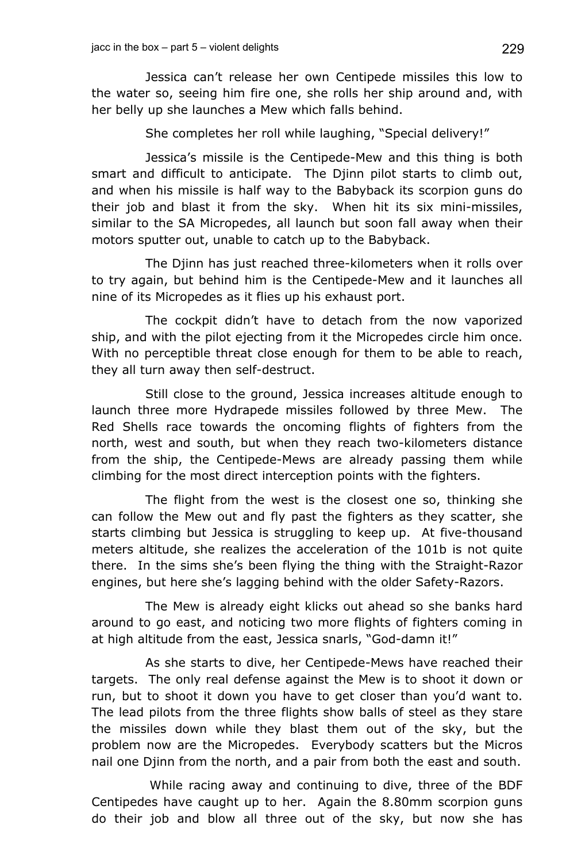Jessica can't release her own Centipede missiles this low to the water so, seeing him fire one, she rolls her ship around and, with her belly up she launches a Mew which falls behind.

She completes her roll while laughing, "Special delivery!"

Jessica's missile is the Centipede-Mew and this thing is both smart and difficult to anticipate. The Djinn pilot starts to climb out, and when his missile is half way to the Babyback its scorpion guns do their job and blast it from the sky. When hit its six mini-missiles, similar to the SA Micropedes, all launch but soon fall away when their motors sputter out, unable to catch up to the Babyback.

The Djinn has just reached three-kilometers when it rolls over to try again, but behind him is the Centipede-Mew and it launches all nine of its Micropedes as it flies up his exhaust port.

The cockpit didn't have to detach from the now vaporized ship, and with the pilot ejecting from it the Micropedes circle him once. With no perceptible threat close enough for them to be able to reach, they all turn away then self-destruct.

Still close to the ground, Jessica increases altitude enough to launch three more Hydrapede missiles followed by three Mew. The Red Shells race towards the oncoming flights of fighters from the north, west and south, but when they reach two-kilometers distance from the ship, the Centipede-Mews are already passing them while climbing for the most direct interception points with the fighters.

The flight from the west is the closest one so, thinking she can follow the Mew out and fly past the fighters as they scatter, she starts climbing but Jessica is struggling to keep up. At five-thousand meters altitude, she realizes the acceleration of the 101b is not quite there. In the sims she's been flying the thing with the Straight-Razor engines, but here she's lagging behind with the older Safety-Razors.

The Mew is already eight klicks out ahead so she banks hard around to go east, and noticing two more flights of fighters coming in at high altitude from the east, Jessica snarls, "God-damn it!"

As she starts to dive, her Centipede-Mews have reached their targets. The only real defense against the Mew is to shoot it down or run, but to shoot it down you have to get closer than you'd want to. The lead pilots from the three flights show balls of steel as they stare the missiles down while they blast them out of the sky, but the problem now are the Micropedes. Everybody scatters but the Micros nail one Djinn from the north, and a pair from both the east and south.

 While racing away and continuing to dive, three of the BDF Centipedes have caught up to her. Again the 8.80mm scorpion guns do their job and blow all three out of the sky, but now she has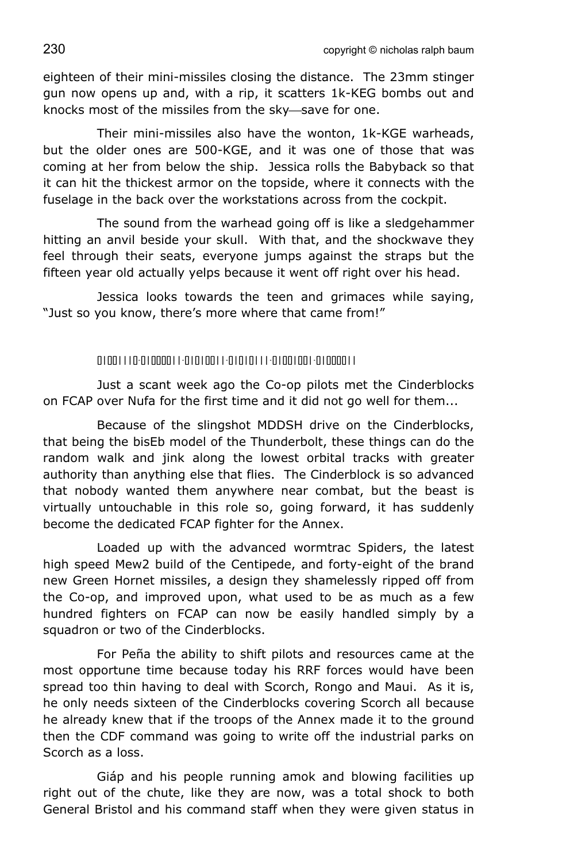eighteen of their mini-missiles closing the distance. The 23mm stinger gun now opens up and, with a rip, it scatters 1k-KEG bombs out and knocks most of the missiles from the sky-save for one.

Their mini-missiles also have the wonton, 1k-KGE warheads, but the older ones are 500-KGE, and it was one of those that was coming at her from below the ship. Jessica rolls the Babyback so that it can hit the thickest armor on the topside, where it connects with the fuselage in the back over the workstations across from the cockpit.

The sound from the warhead going off is like a sledgehammer hitting an anvil beside your skull. With that, and the shockwave they feel through their seats, everyone jumps against the straps but the fifteen year old actually yelps because it went off right over his head.

Jessica looks towards the teen and grimaces while saying, "Just so you know, there's more where that came from!"

## 01001110-01000011-01010011-01010111-01001001-01000011

Just a scant week ago the Co-op pilots met the Cinderblocks on FCAP over Nufa for the first time and it did not go well for them...

Because of the slingshot MDDSH drive on the Cinderblocks, that being the bisEb model of the Thunderbolt, these things can do the random walk and jink along the lowest orbital tracks with greater authority than anything else that flies. The Cinderblock is so advanced that nobody wanted them anywhere near combat, but the beast is virtually untouchable in this role so, going forward, it has suddenly become the dedicated FCAP fighter for the Annex.

Loaded up with the advanced wormtrac Spiders, the latest high speed Mew2 build of the Centipede, and forty-eight of the brand new Green Hornet missiles, a design they shamelessly ripped off from the Co-op, and improved upon, what used to be as much as a few hundred fighters on FCAP can now be easily handled simply by a squadron or two of the Cinderblocks.

For Peña the ability to shift pilots and resources came at the most opportune time because today his RRF forces would have been spread too thin having to deal with Scorch, Rongo and Maui. As it is, he only needs sixteen of the Cinderblocks covering Scorch all because he already knew that if the troops of the Annex made it to the ground then the CDF command was going to write off the industrial parks on Scorch as a loss.

Giáp and his people running amok and blowing facilities up right out of the chute, like they are now, was a total shock to both General Bristol and his command staff when they were given status in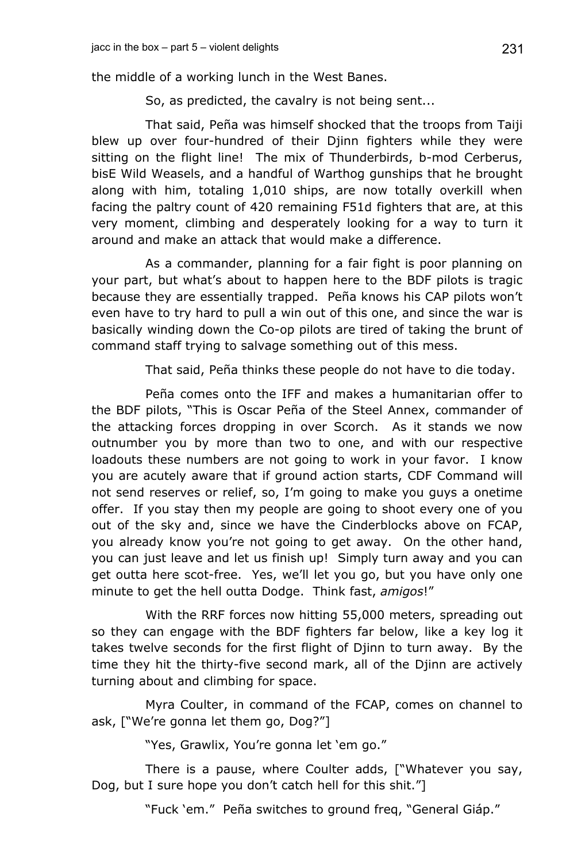the middle of a working lunch in the West Banes.

So, as predicted, the cavalry is not being sent...

That said, Peña was himself shocked that the troops from Taiji blew up over four-hundred of their Djinn fighters while they were sitting on the flight line! The mix of Thunderbirds, b-mod Cerberus, bisE Wild Weasels, and a handful of Warthog gunships that he brought along with him, totaling 1,010 ships, are now totally overkill when facing the paltry count of 420 remaining F51d fighters that are, at this very moment, climbing and desperately looking for a way to turn it around and make an attack that would make a difference.

As a commander, planning for a fair fight is poor planning on your part, but what's about to happen here to the BDF pilots is tragic because they are essentially trapped. Peña knows his CAP pilots won't even have to try hard to pull a win out of this one, and since the war is basically winding down the Co-op pilots are tired of taking the brunt of command staff trying to salvage something out of this mess.

That said, Peña thinks these people do not have to die today.

Peña comes onto the IFF and makes a humanitarian offer to the BDF pilots, "This is Oscar Peña of the Steel Annex, commander of the attacking forces dropping in over Scorch. As it stands we now outnumber you by more than two to one, and with our respective loadouts these numbers are not going to work in your favor. I know you are acutely aware that if ground action starts, CDF Command will not send reserves or relief, so, I'm going to make you guys a onetime offer. If you stay then my people are going to shoot every one of you out of the sky and, since we have the Cinderblocks above on FCAP, you already know you're not going to get away. On the other hand, you can just leave and let us finish up! Simply turn away and you can get outta here scot-free. Yes, we'll let you go, but you have only one minute to get the hell outta Dodge. Think fast, *amigos*!"

With the RRF forces now hitting 55,000 meters, spreading out so they can engage with the BDF fighters far below, like a key log it takes twelve seconds for the first flight of Djinn to turn away. By the time they hit the thirty-five second mark, all of the Djinn are actively turning about and climbing for space.

Myra Coulter, in command of the FCAP, comes on channel to ask, ["We're gonna let them go, Dog?"]

"Yes, Grawlix, You're gonna let 'em go."

There is a pause, where Coulter adds, ["Whatever you say, Dog, but I sure hope you don't catch hell for this shit."]

"Fuck 'em." Peña switches to ground freq, "General Giáp."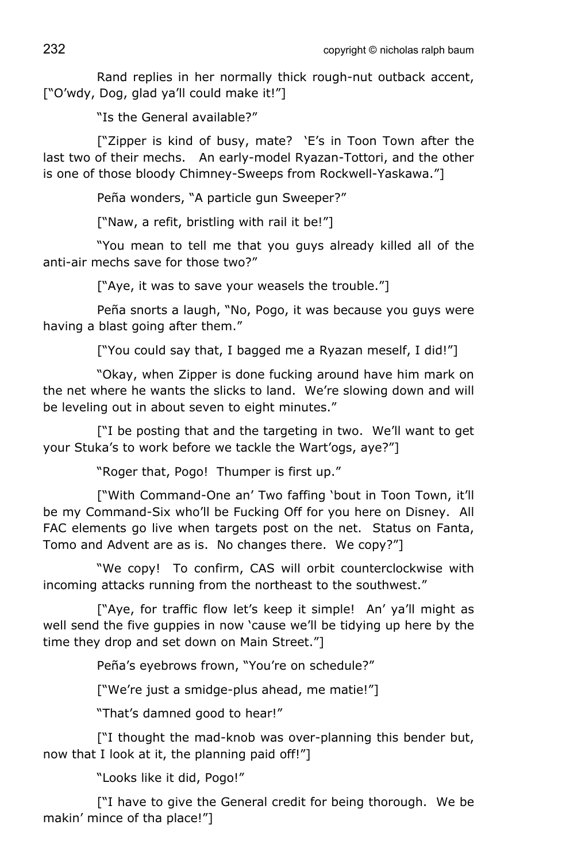Rand replies in her normally thick rough-nut outback accent, ["O'wdy, Dog, glad ya'll could make it!"]

"Is the General available?"

["Zipper is kind of busy, mate? 'E's in Toon Town after the last two of their mechs. An early-model Ryazan-Tottori, and the other is one of those bloody Chimney-Sweeps from Rockwell-Yaskawa."]

Peña wonders, "A particle gun Sweeper?"

["Naw, a refit, bristling with rail it be!"]

"You mean to tell me that you guys already killed all of the anti-air mechs save for those two?"

["Aye, it was to save your weasels the trouble."]

Peña snorts a laugh, "No, Pogo, it was because you guys were having a blast going after them."

["You could say that, I bagged me a Ryazan meself, I did!"]

"Okay, when Zipper is done fucking around have him mark on the net where he wants the slicks to land. We're slowing down and will be leveling out in about seven to eight minutes."

["I be posting that and the targeting in two. We'll want to get your Stuka's to work before we tackle the Wart'ogs, aye?"]

"Roger that, Pogo! Thumper is first up."

["With Command-One an' Two faffing 'bout in Toon Town, it'll be my Command-Six who'll be Fucking Off for you here on Disney. All FAC elements go live when targets post on the net. Status on Fanta, Tomo and Advent are as is. No changes there. We copy?"]

"We copy! To confirm, CAS will orbit counterclockwise with incoming attacks running from the northeast to the southwest."

["Aye, for traffic flow let's keep it simple! An' ya'll might as well send the five guppies in now 'cause we'll be tidying up here by the time they drop and set down on Main Street."]

Peña's eyebrows frown, "You're on schedule?"

["We're just a smidge-plus ahead, me matie!"]

"That's damned good to hear!"

["I thought the mad-knob was over-planning this bender but, now that I look at it, the planning paid off!"]

"Looks like it did, Pogo!"

["I have to give the General credit for being thorough. We be makin' mince of tha place!"]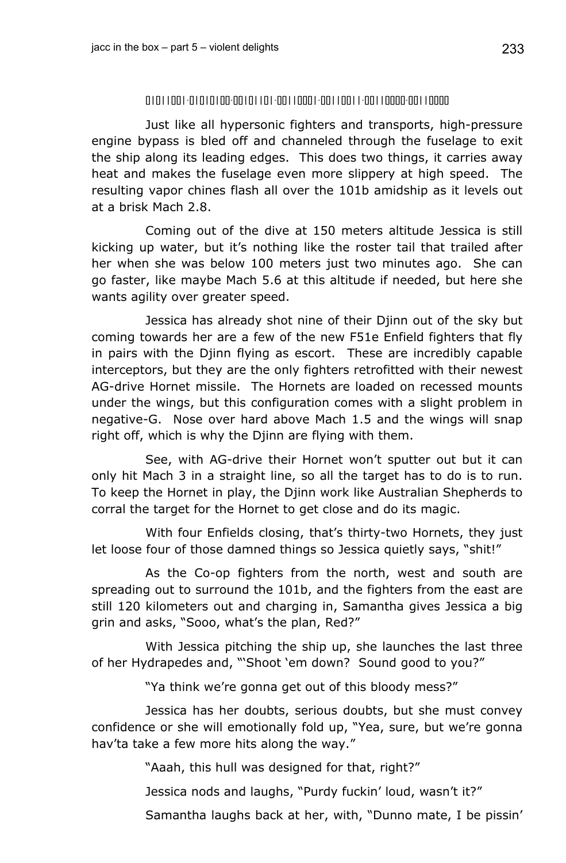## 01011001-01010100-00101101-00110001-00110011-00110000-00110000

Just like all hypersonic fighters and transports, high-pressure engine bypass is bled off and channeled through the fuselage to exit the ship along its leading edges. This does two things, it carries away heat and makes the fuselage even more slippery at high speed. The resulting vapor chines flash all over the 101b amidship as it levels out at a brisk Mach 2.8.

Coming out of the dive at 150 meters altitude Jessica is still kicking up water, but it's nothing like the roster tail that trailed after her when she was below 100 meters just two minutes ago. She can go faster, like maybe Mach 5.6 at this altitude if needed, but here she wants agility over greater speed.

Jessica has already shot nine of their Djinn out of the sky but coming towards her are a few of the new F51e Enfield fighters that fly in pairs with the Djinn flying as escort. These are incredibly capable interceptors, but they are the only fighters retrofitted with their newest AG-drive Hornet missile. The Hornets are loaded on recessed mounts under the wings, but this configuration comes with a slight problem in negative-G. Nose over hard above Mach 1.5 and the wings will snap right off, which is why the Djinn are flying with them.

See, with AG-drive their Hornet won't sputter out but it can only hit Mach 3 in a straight line, so all the target has to do is to run. To keep the Hornet in play, the Djinn work like Australian Shepherds to corral the target for the Hornet to get close and do its magic.

With four Enfields closing, that's thirty-two Hornets, they just let loose four of those damned things so Jessica quietly says, "shit!"

As the Co-op fighters from the north, west and south are spreading out to surround the 101b, and the fighters from the east are still 120 kilometers out and charging in, Samantha gives Jessica a big grin and asks, "Sooo, what's the plan, Red?"

With Jessica pitching the ship up, she launches the last three of her Hydrapedes and, "'Shoot 'em down? Sound good to you?"

"Ya think we're gonna get out of this bloody mess?"

Jessica has her doubts, serious doubts, but she must convey confidence or she will emotionally fold up, "Yea, sure, but we're gonna hav'ta take a few more hits along the way."

"Aaah, this hull was designed for that, right?"

Jessica nods and laughs, "Purdy fuckin' loud, wasn't it?"

Samantha laughs back at her, with, "Dunno mate, I be pissin'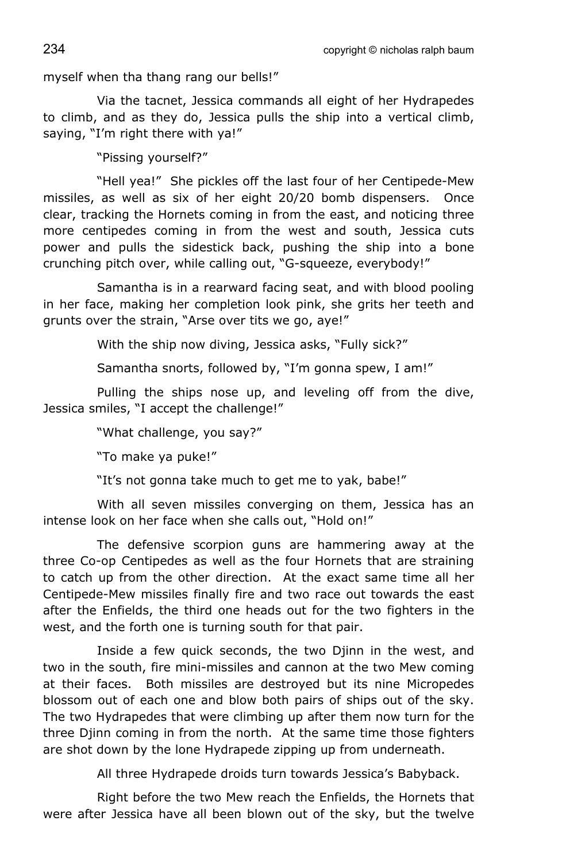234 copyright © nicholas ralph baum

myself when tha thang rang our bells!"

Via the tacnet, Jessica commands all eight of her Hydrapedes to climb, and as they do, Jessica pulls the ship into a vertical climb, saying, "I'm right there with ya!"

"Pissing yourself?"

"Hell yea!" She pickles off the last four of her Centipede-Mew missiles, as well as six of her eight 20/20 bomb dispensers. Once clear, tracking the Hornets coming in from the east, and noticing three more centipedes coming in from the west and south, Jessica cuts power and pulls the sidestick back, pushing the ship into a bone crunching pitch over, while calling out, "G-squeeze, everybody!"

Samantha is in a rearward facing seat, and with blood pooling in her face, making her completion look pink, she grits her teeth and grunts over the strain, "Arse over tits we go, aye!"

With the ship now diving, Jessica asks, "Fully sick?"

Samantha snorts, followed by, "I'm gonna spew, I am!"

Pulling the ships nose up, and leveling off from the dive, Jessica smiles, "I accept the challenge!"

"What challenge, you say?"

"To make ya puke!"

"It's not gonna take much to get me to yak, babe!"

With all seven missiles converging on them, Jessica has an intense look on her face when she calls out, "Hold on!"

The defensive scorpion guns are hammering away at the three Co-op Centipedes as well as the four Hornets that are straining to catch up from the other direction. At the exact same time all her Centipede-Mew missiles finally fire and two race out towards the east after the Enfields, the third one heads out for the two fighters in the west, and the forth one is turning south for that pair.

Inside a few quick seconds, the two Djinn in the west, and two in the south, fire mini-missiles and cannon at the two Mew coming at their faces. Both missiles are destroyed but its nine Micropedes blossom out of each one and blow both pairs of ships out of the sky. The two Hydrapedes that were climbing up after them now turn for the three Djinn coming in from the north. At the same time those fighters are shot down by the lone Hydrapede zipping up from underneath.

All three Hydrapede droids turn towards Jessica's Babyback.

Right before the two Mew reach the Enfields, the Hornets that were after Jessica have all been blown out of the sky, but the twelve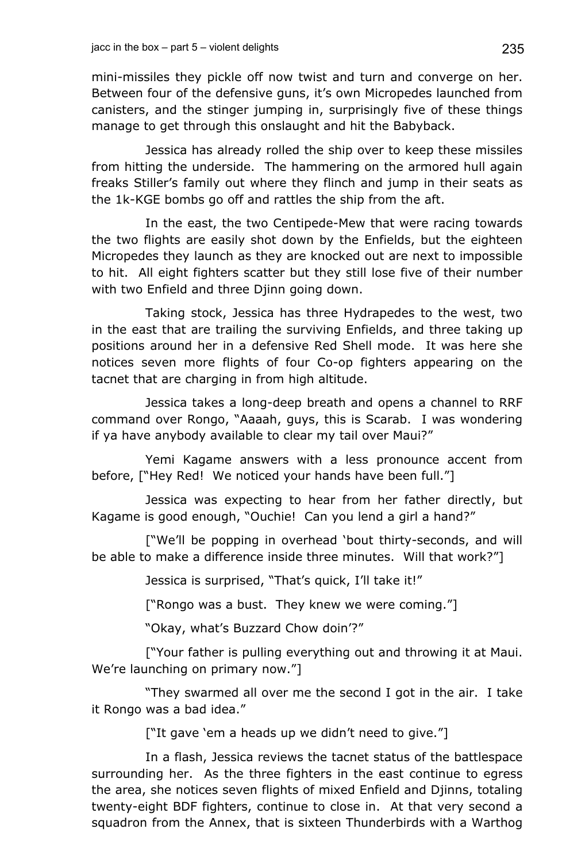mini-missiles they pickle off now twist and turn and converge on her. Between four of the defensive guns, it's own Micropedes launched from canisters, and the stinger jumping in, surprisingly five of these things manage to get through this onslaught and hit the Babyback.

Jessica has already rolled the ship over to keep these missiles from hitting the underside. The hammering on the armored hull again freaks Stiller's family out where they flinch and jump in their seats as the 1k-KGE bombs go off and rattles the ship from the aft.

In the east, the two Centipede-Mew that were racing towards the two flights are easily shot down by the Enfields, but the eighteen Micropedes they launch as they are knocked out are next to impossible to hit. All eight fighters scatter but they still lose five of their number with two Enfield and three Djinn going down.

Taking stock, Jessica has three Hydrapedes to the west, two in the east that are trailing the surviving Enfields, and three taking up positions around her in a defensive Red Shell mode. It was here she notices seven more flights of four Co-op fighters appearing on the tacnet that are charging in from high altitude.

Jessica takes a long-deep breath and opens a channel to RRF command over Rongo, "Aaaah, guys, this is Scarab. I was wondering if ya have anybody available to clear my tail over Maui?"

Yemi Kagame answers with a less pronounce accent from before, ["Hey Red! We noticed your hands have been full."]

Jessica was expecting to hear from her father directly, but Kagame is good enough, "Ouchie! Can you lend a girl a hand?"

["We'll be popping in overhead 'bout thirty-seconds, and will be able to make a difference inside three minutes. Will that work?"]

Jessica is surprised, "That's quick, I'll take it!"

["Rongo was a bust. They knew we were coming."]

"Okay, what's Buzzard Chow doin'?"

["Your father is pulling everything out and throwing it at Maui. We're launching on primary now."]

"They swarmed all over me the second I got in the air. I take it Rongo was a bad idea."

["It gave 'em a heads up we didn't need to give."]

In a flash, Jessica reviews the tacnet status of the battlespace surrounding her. As the three fighters in the east continue to egress the area, she notices seven flights of mixed Enfield and Djinns, totaling twenty-eight BDF fighters, continue to close in. At that very second a squadron from the Annex, that is sixteen Thunderbirds with a Warthog